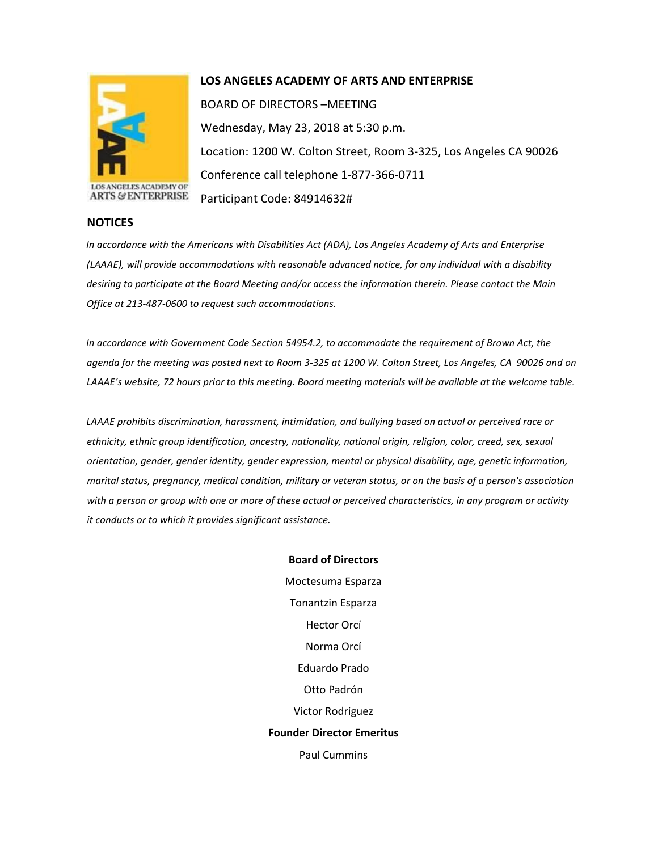

## **LOS ANGELES ACADEMY OF ARTS AND ENTERPRISE**

BOARD OF DIRECTORS –MEETING Wednesday, May 23, 2018 at 5:30 p.m. Location: 1200 W. Colton Street, Room 3-325, Los Angeles CA 90026 Conference call telephone 1-877-366-0711 Participant Code: 84914632#

## **NOTICES**

*In accordance with the Americans with Disabilities Act (ADA), Los Angeles Academy of Arts and Enterprise (LAAAE), will provide accommodations with reasonable advanced notice, for any individual with a disability desiring to participate at the Board Meeting and/or access the information therein. Please contact the Main Office at 213-487-0600 to request such accommodations.* 

*In accordance with Government Code Section 54954.2, to accommodate the requirement of Brown Act, the agenda for the meeting was posted next to Room 3-325 at 1200 W. Colton Street, Los Angeles, CA 90026 and on LAAAE's website, 72 hours prior to this meeting. Board meeting materials will be available at the welcome table.* 

*LAAAE prohibits discrimination, harassment, intimidation, and bullying based on actual or perceived race or ethnicity, ethnic group identification, ancestry, nationality, national origin, religion, color, creed, sex, sexual orientation, gender, gender identity, gender expression, mental or physical disability, age, genetic information, marital status, pregnancy, medical condition, military or veteran status, or on the basis of a person's association with a person or group with one or more of these actual or perceived characteristics, in any program or activity it conducts or to which it provides significant assistance.* 

> **Board of Directors** Moctesuma Esparza Tonantzin Esparza Hector Orcí Norma Orcí Eduardo Prado Otto Padrón Victor Rodriguez **Founder Director Emeritus** Paul Cummins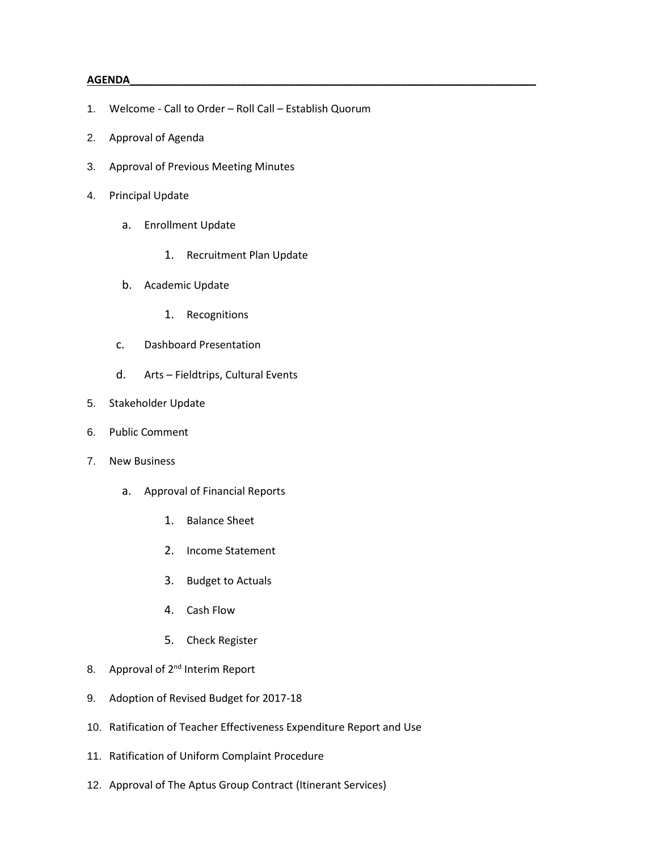## **AGENDA\_\_\_\_\_\_\_\_\_\_\_\_\_\_\_\_\_\_\_\_\_\_\_\_\_\_\_\_\_\_\_\_\_\_\_\_\_\_\_\_\_\_\_\_\_\_\_\_\_\_\_\_\_\_\_\_\_\_\_\_\_\_\_\_\_\_\_\_\_**

- 1. Welcome Call to Order Roll Call Establish Quorum
- 2. Approval of Agenda
- 3. Approval of Previous Meeting Minutes
- 4. Principal Update
	- a. Enrollment Update
		- 1. Recruitment Plan Update
	- b. Academic Update
		- 1. Recognitions
	- c. Dashboard Presentation
	- d. Arts Fieldtrips, Cultural Events
- 5. Stakeholder Update
- 6. Public Comment
- 7. New Business
	- a. Approval of Financial Reports
		- 1. Balance Sheet
		- 2. Income Statement
		- 3. Budget to Actuals
		- 4. Cash Flow
		- 5. Check Register
- 8. Approval of 2<sup>nd</sup> Interim Report
- 9. Adoption of Revised Budget for 2017-18
- 10. Ratification of Teacher Effectiveness Expenditure Report and Use
- 11. Ratification of Uniform Complaint Procedure
- 12. Approval of The Aptus Group Contract (Itinerant Services)